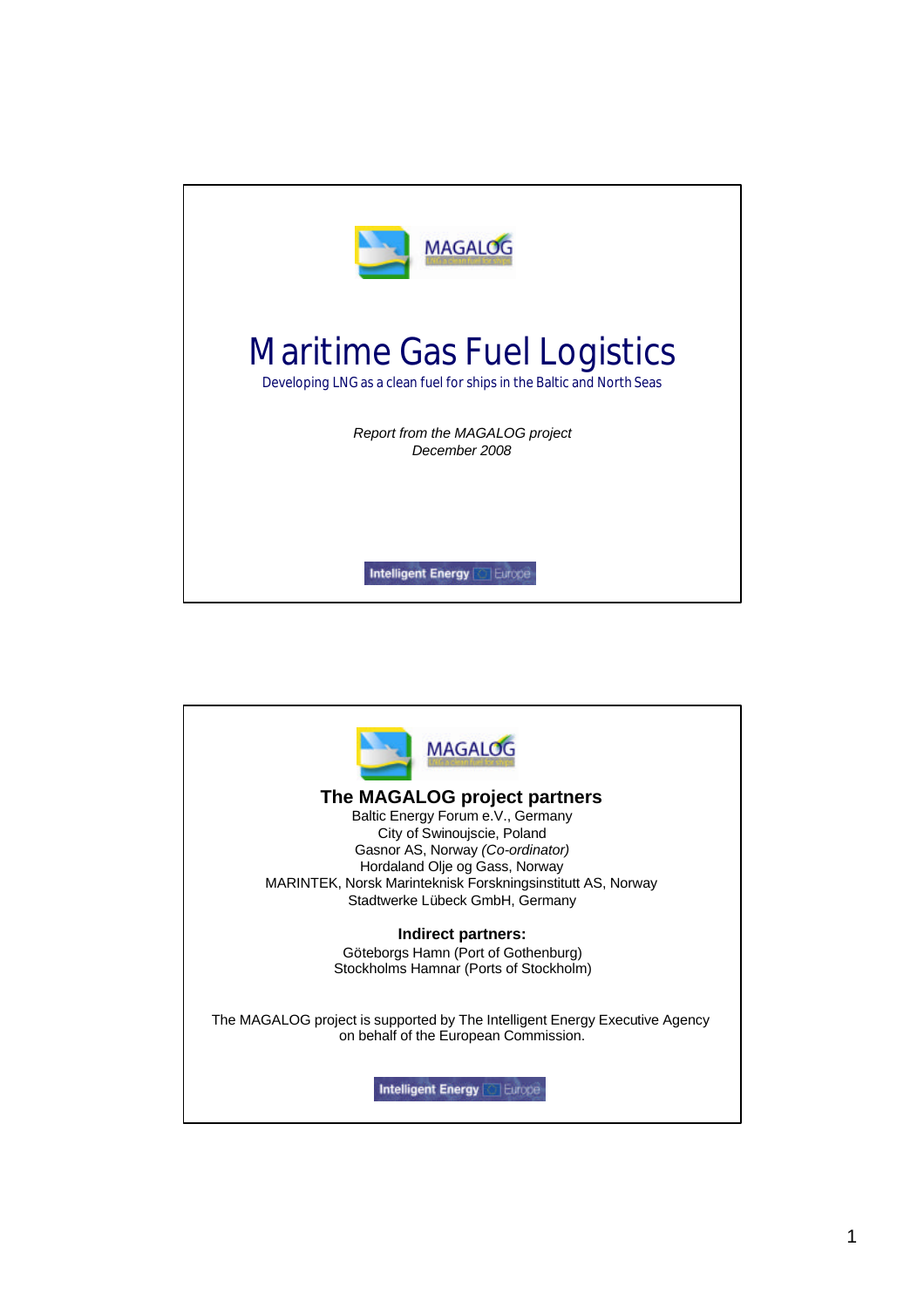

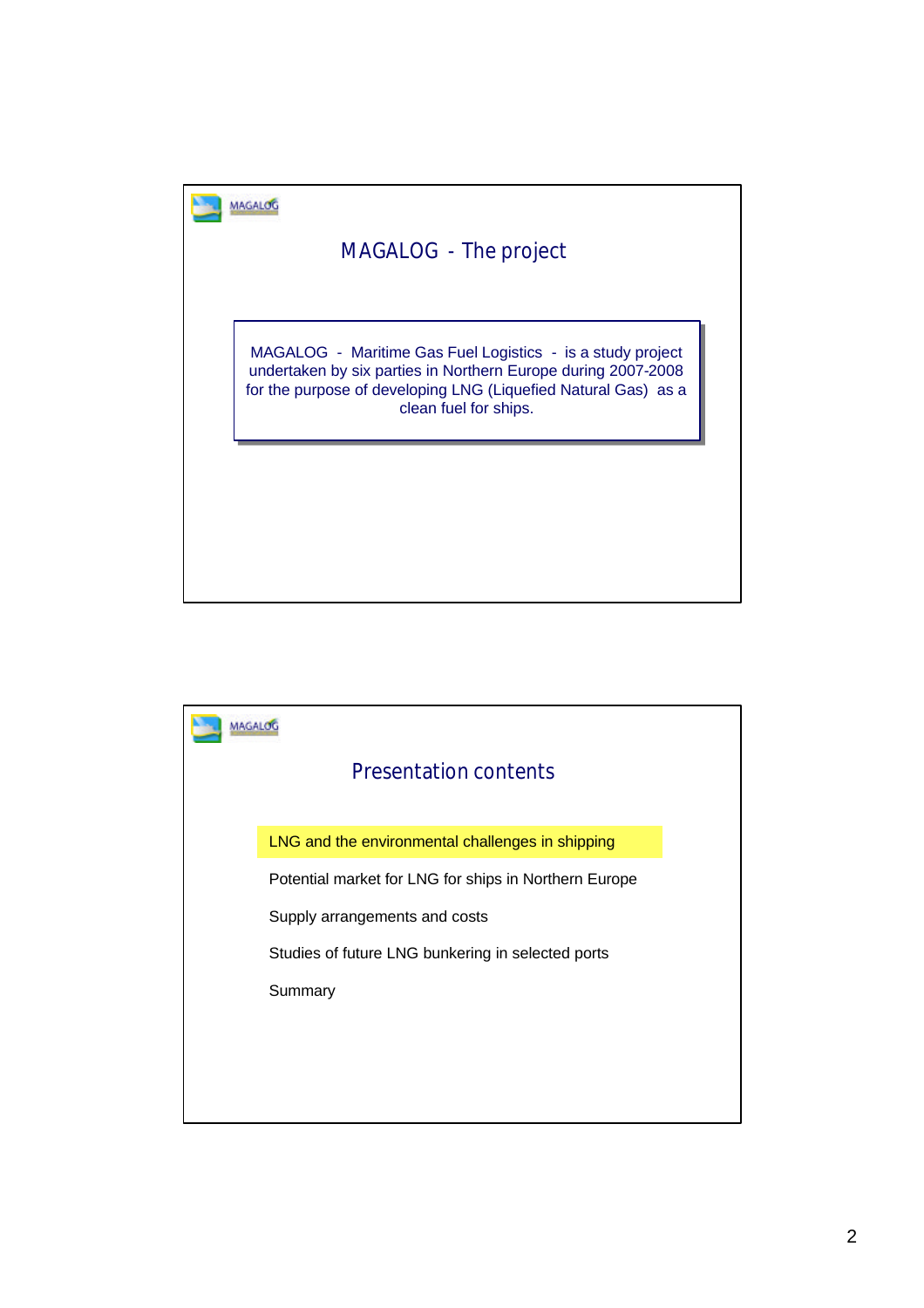

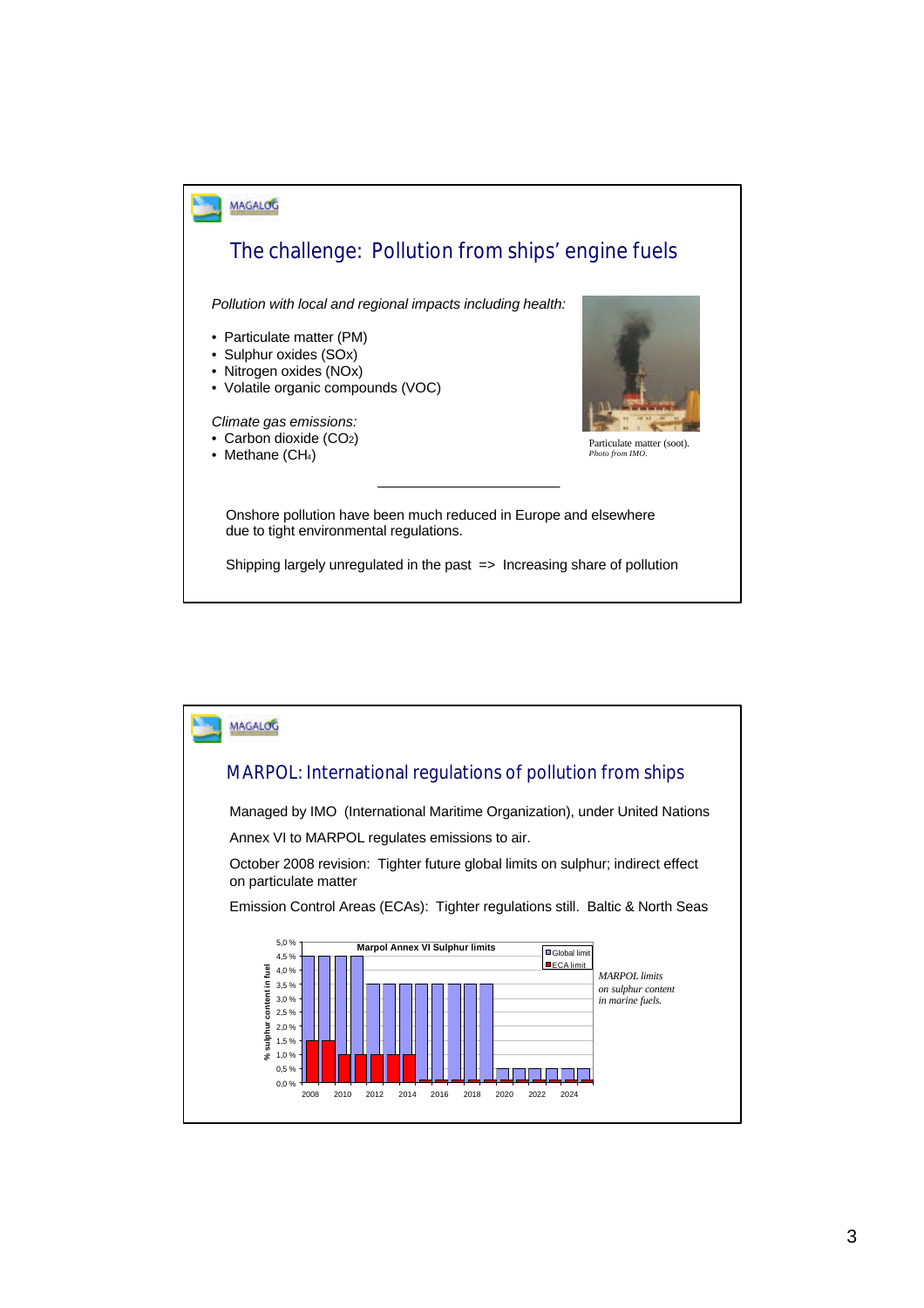

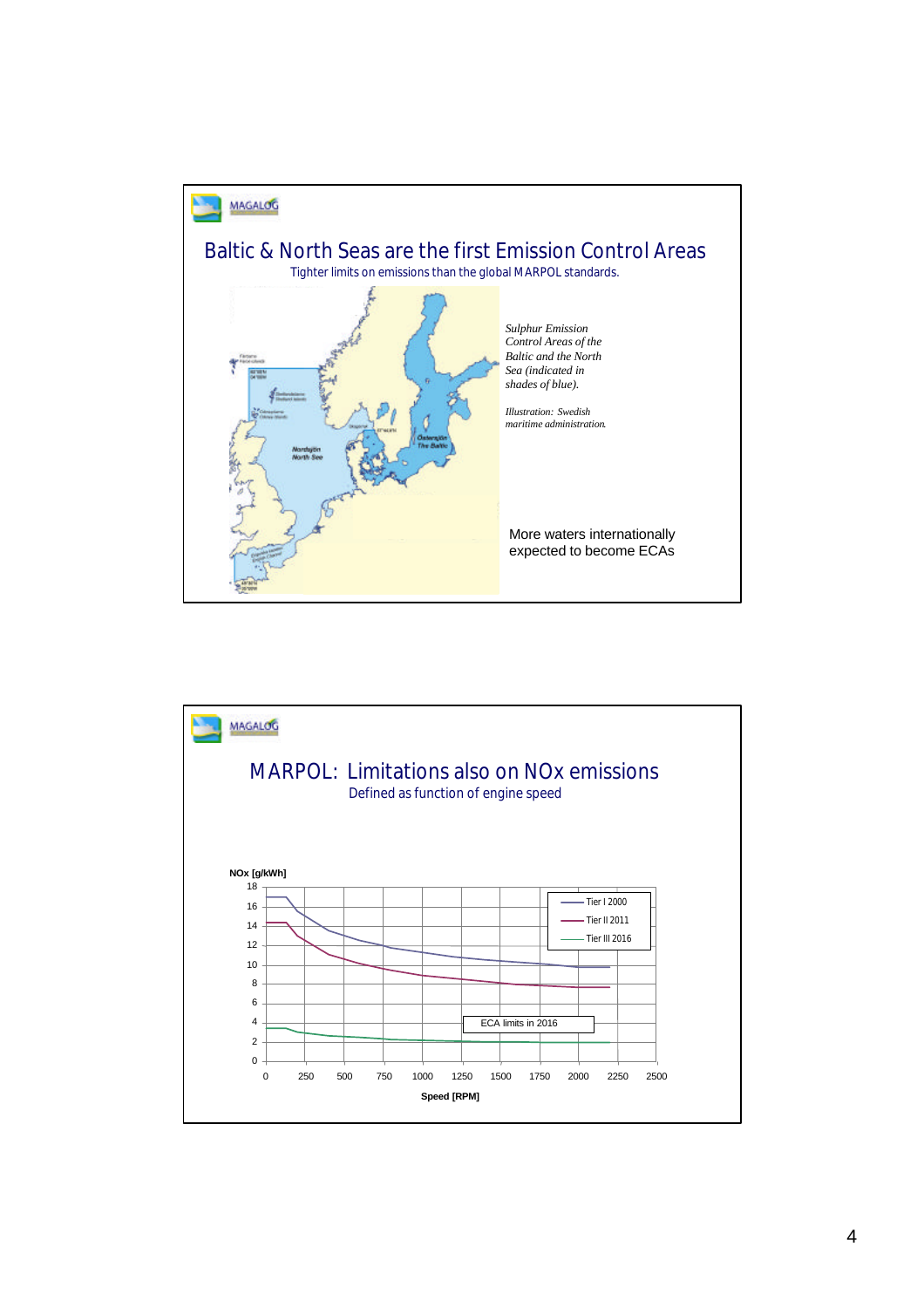

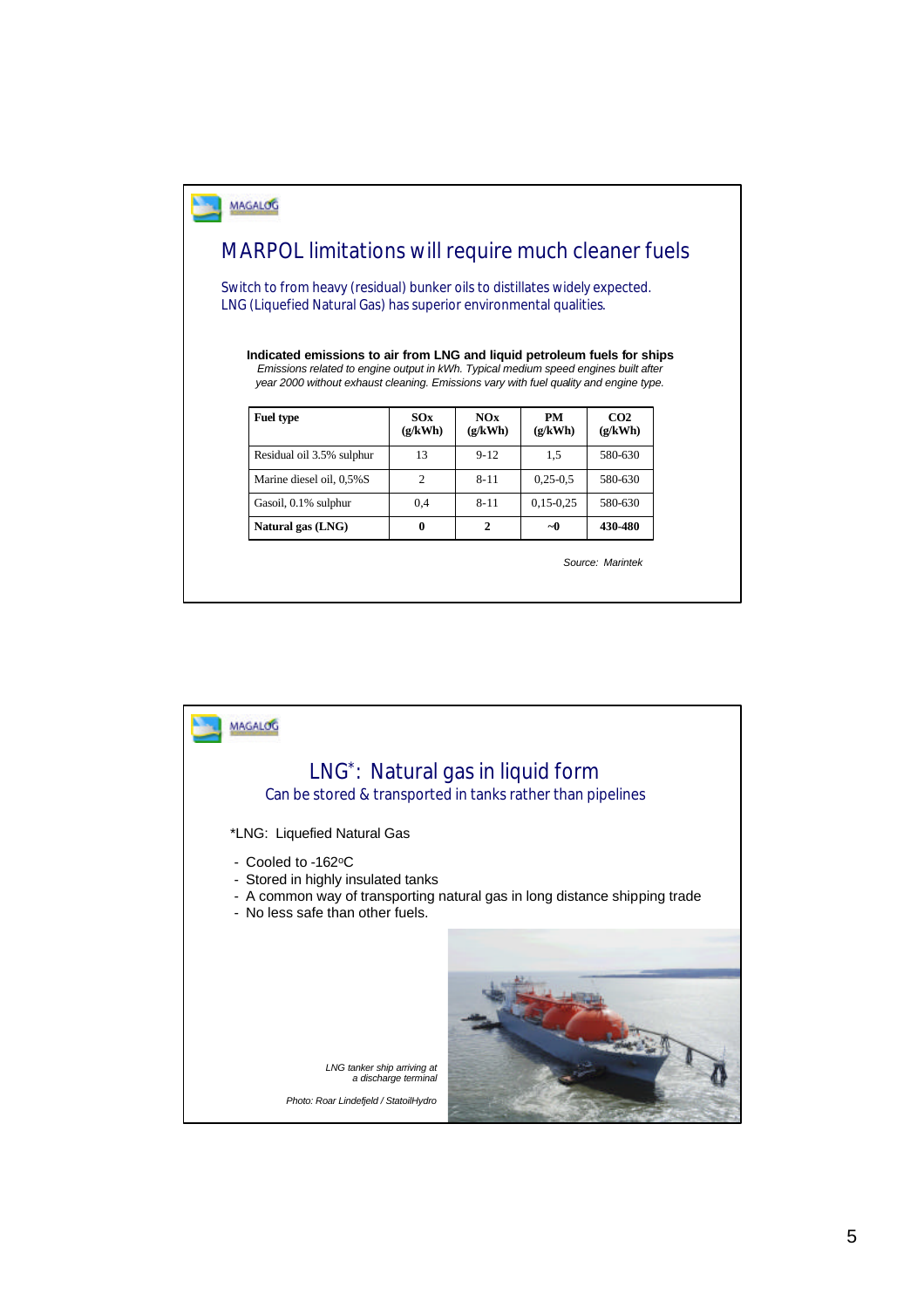

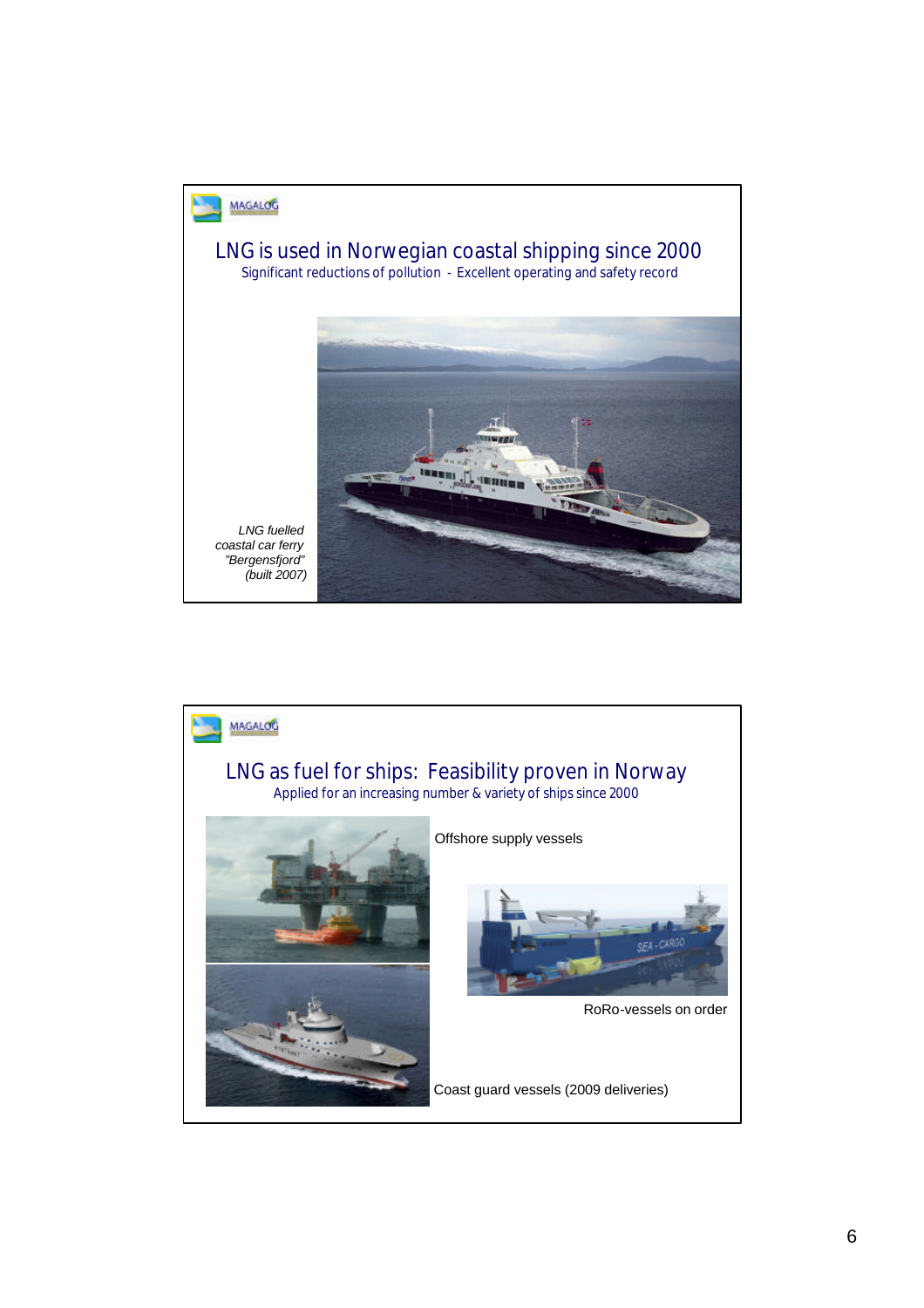

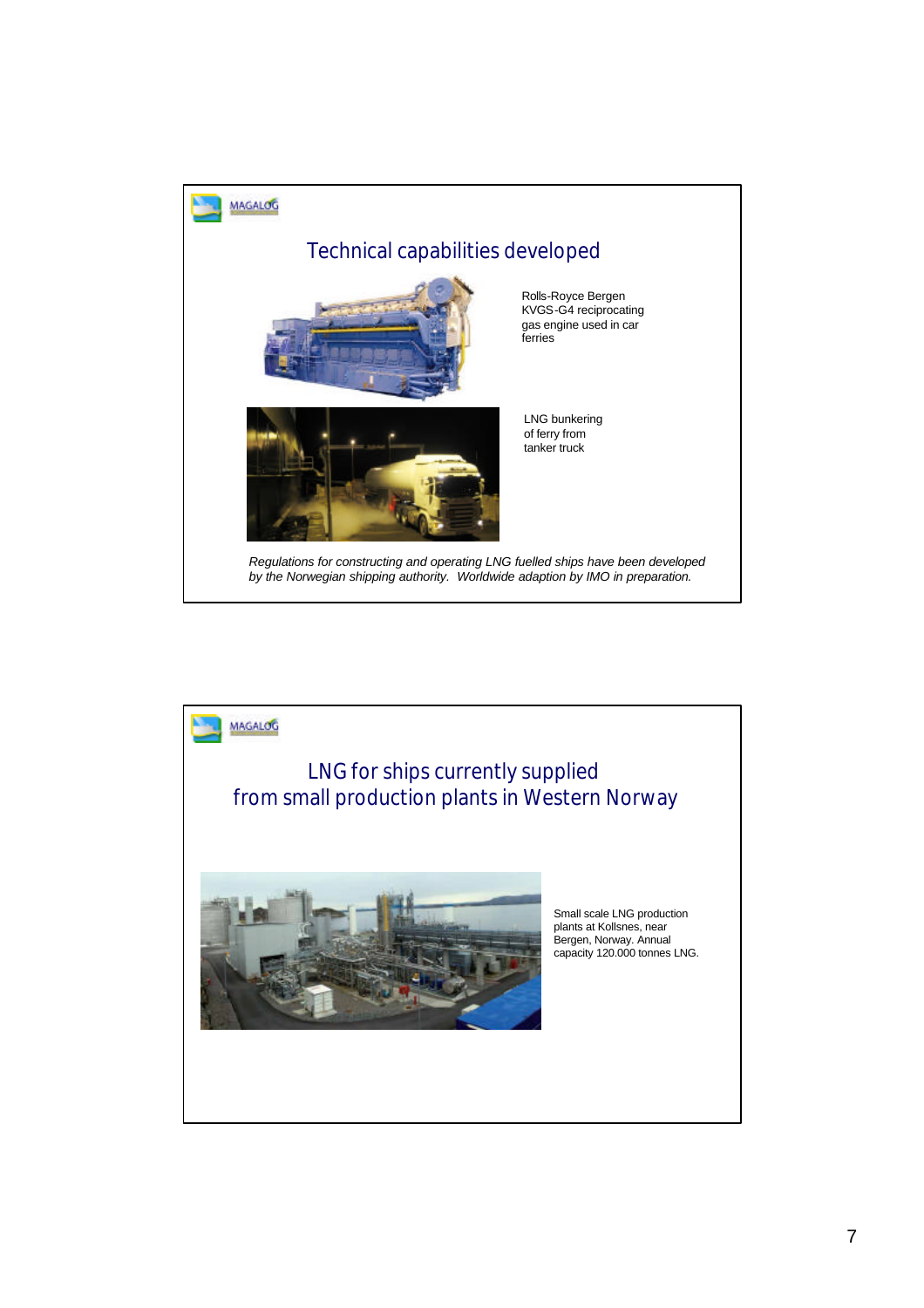

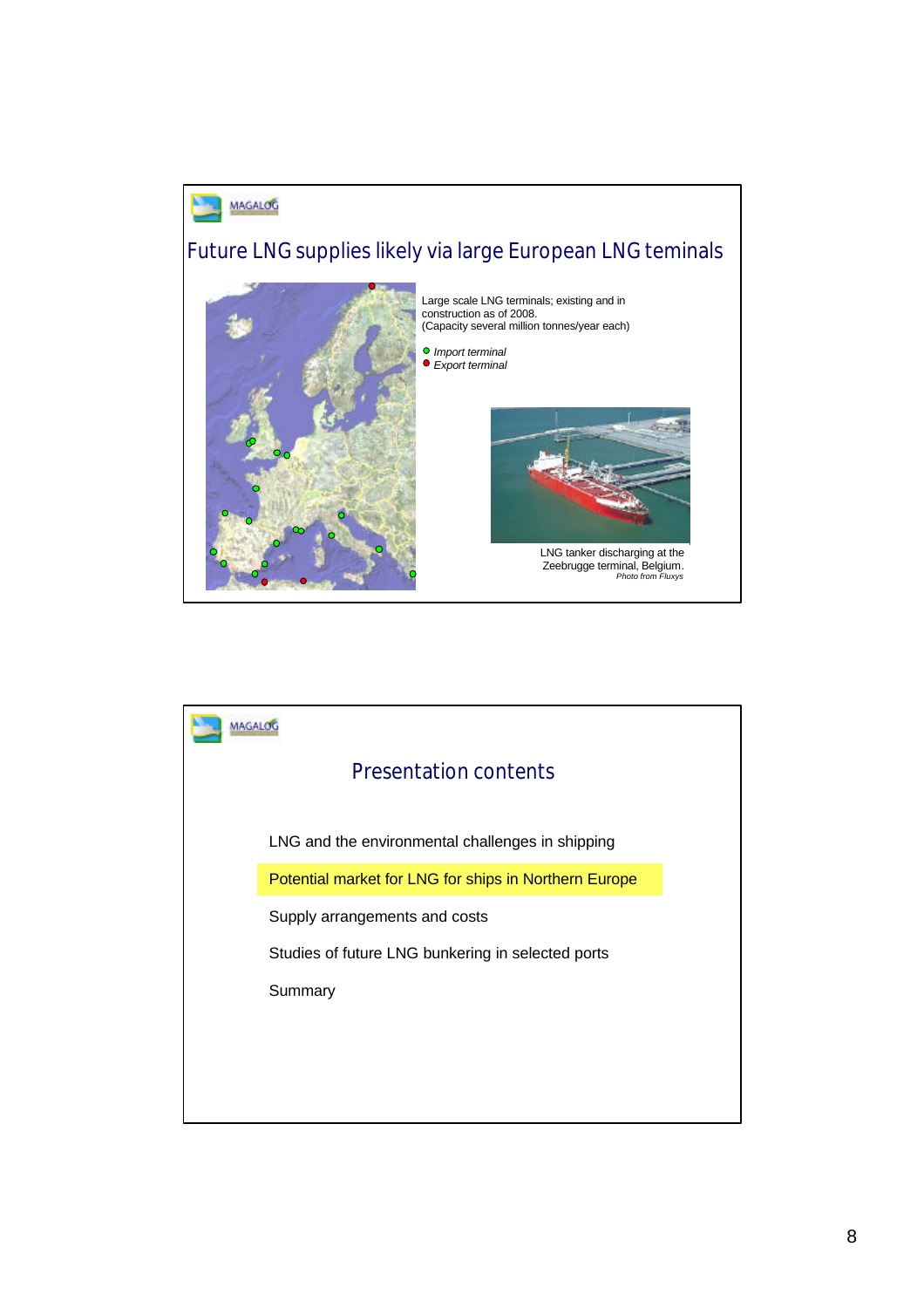

Large scale LNG terminals; existing and in construction as of 2008. (Capacity several million tonnes/year each)







LNG tanker discharging at the Zeebrugge terminal, Belgium. *Photo from Fluxys*

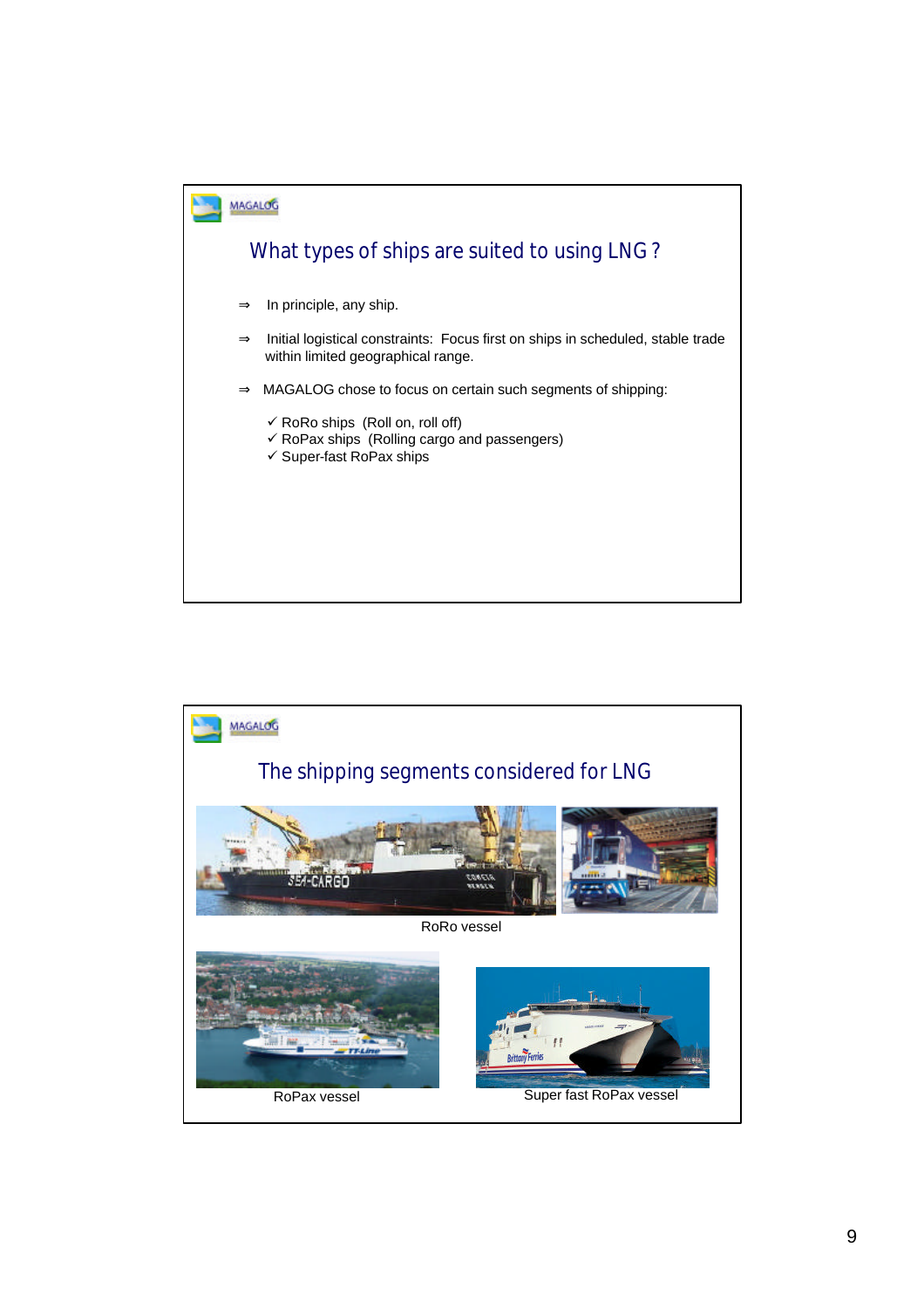

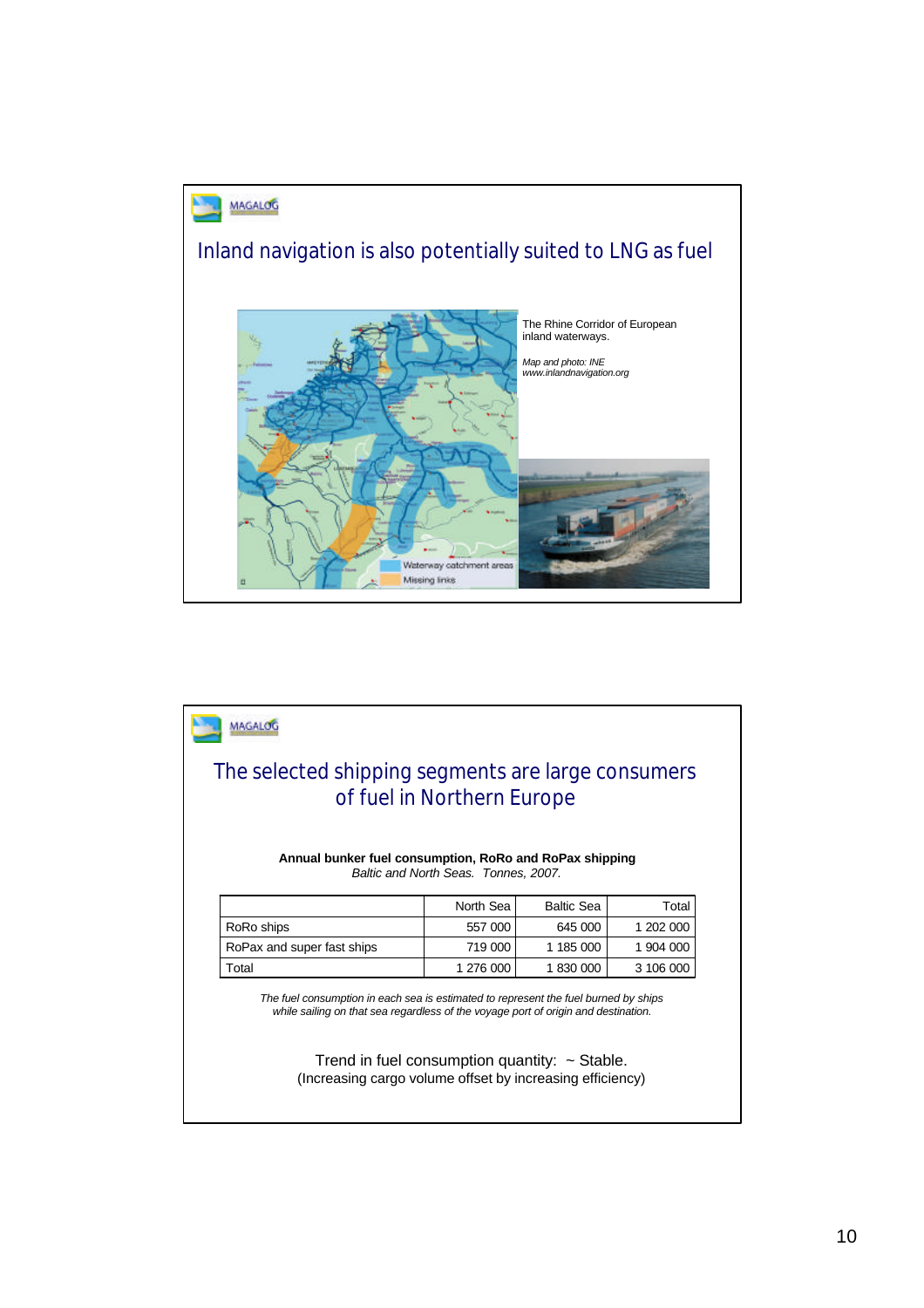



Trend in fuel consumption quantity:  $\sim$  Stable. (Increasing cargo volume offset by increasing efficiency)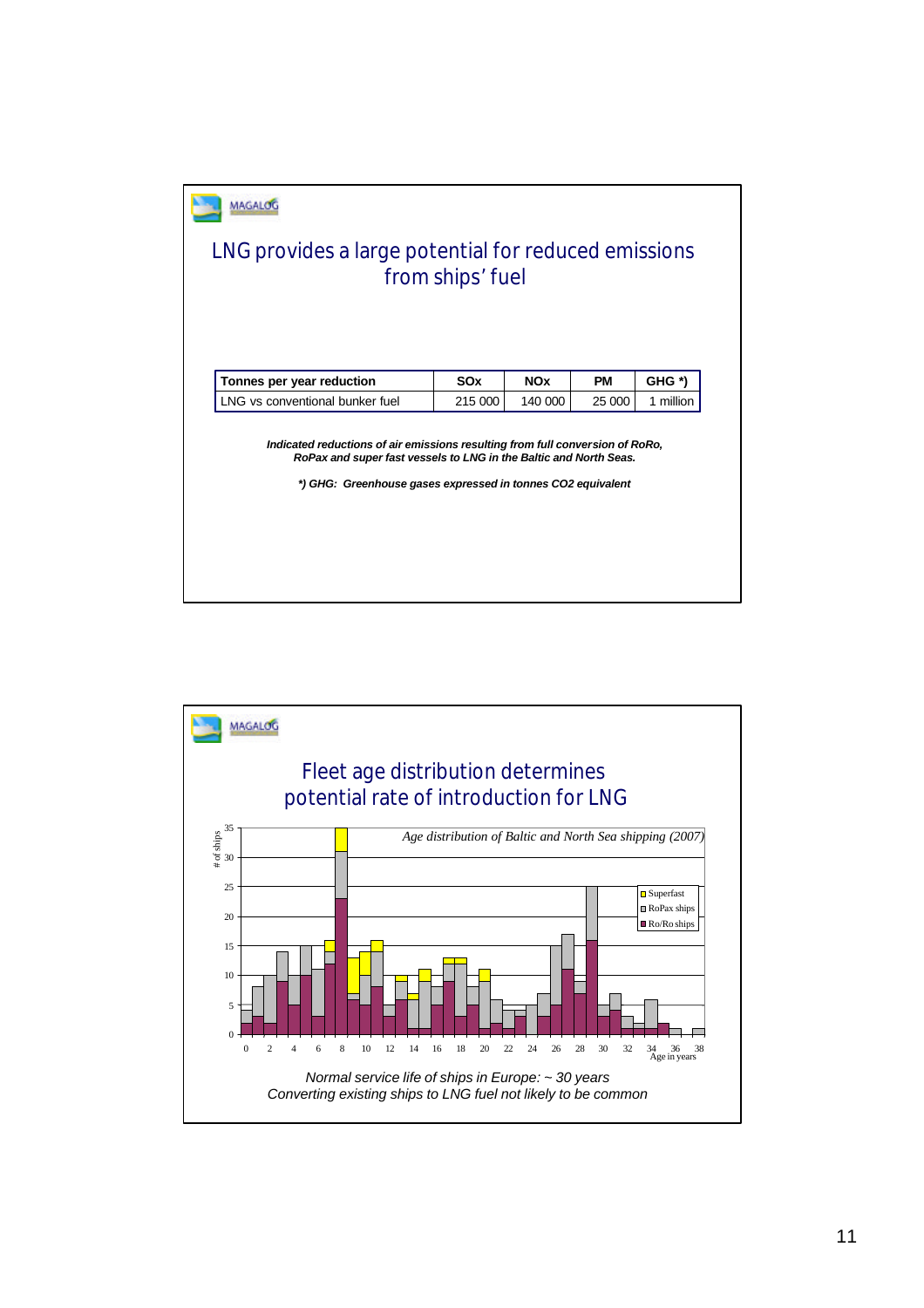| LNG provides a large potential for reduced emissions                                                                                                                                                              | from ships' fuel |            |           |           |
|-------------------------------------------------------------------------------------------------------------------------------------------------------------------------------------------------------------------|------------------|------------|-----------|-----------|
| Tonnes per year reduction                                                                                                                                                                                         | <b>SOx</b>       | <b>NOx</b> | <b>PM</b> | GHG *)    |
| I NG vs conventional bunker fuel                                                                                                                                                                                  | 215 000          | 140 000    | 25 000    | 1 million |
| Indicated reductions of air emissions resulting from full conversion of RoRo,<br>RoPax and super fast vessels to LNG in the Baltic and North Seas.<br>*) GHG: Greenhouse gases expressed in tonnes CO2 equivalent |                  |            |           |           |
|                                                                                                                                                                                                                   |                  |            |           |           |
|                                                                                                                                                                                                                   |                  |            |           |           |

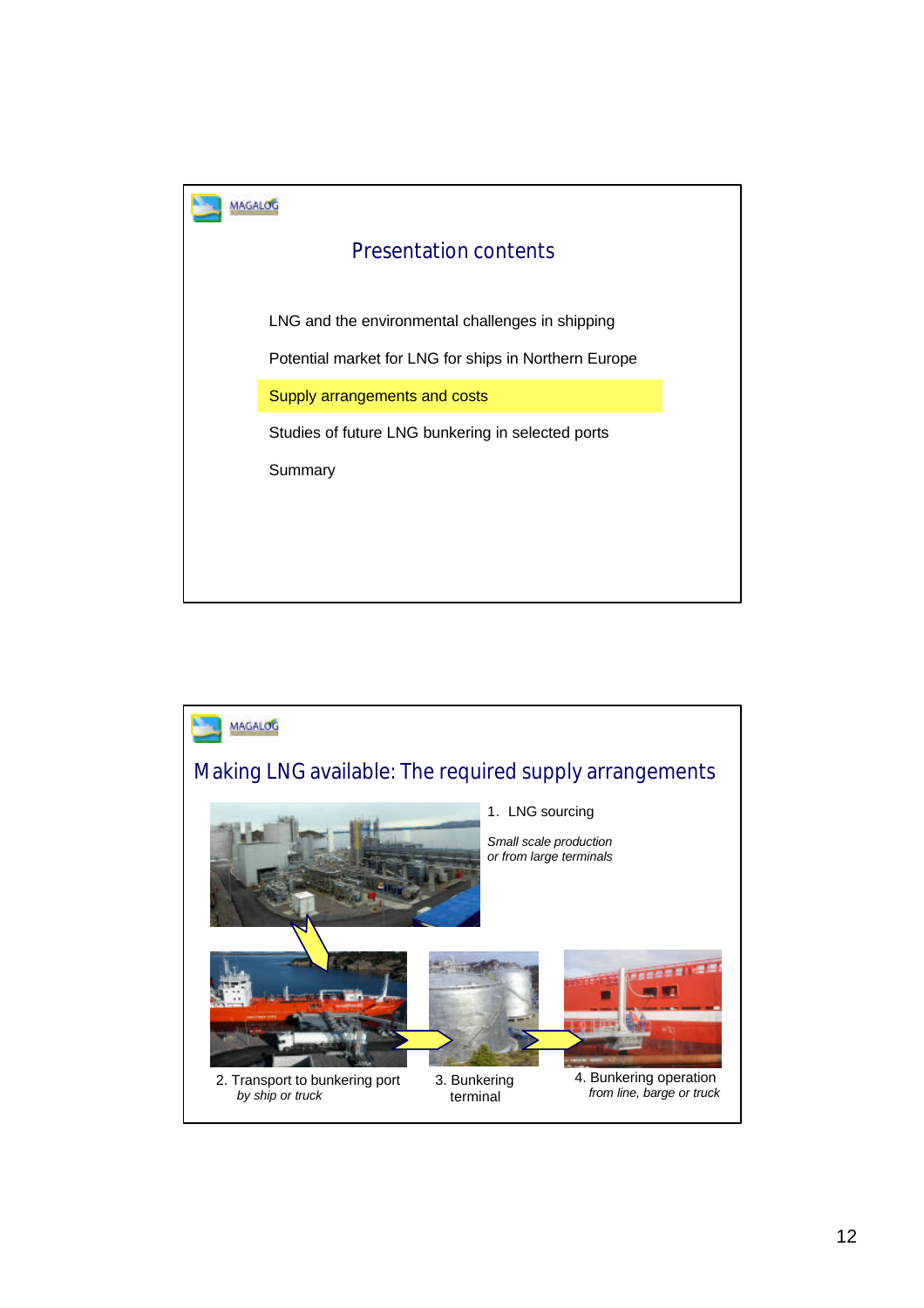

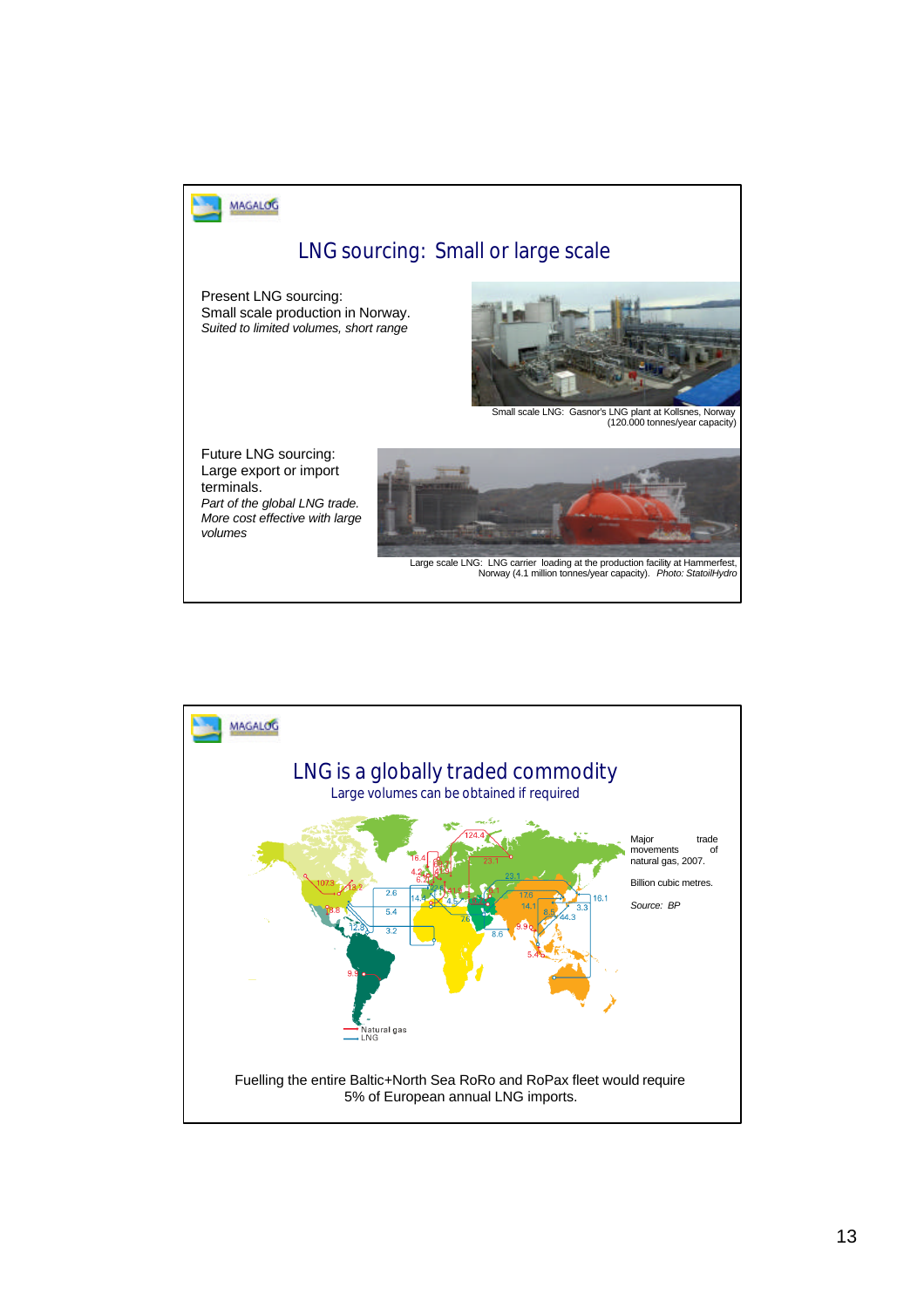

### LNG sourcing: Small or large scale

Present LNG sourcing: Small scale production in Norway. *Suited to limited volumes, short range*



Small scale LNG: Gasnor's LNG plant at Kollsnes, Norway (120.000 tonnes/year capacity)

Future LNG sourcing: Large export or import terminals. *Part of the global LNG trade. More cost effective with large volumes*



Large scale LNG: LNG carrier loading at the production facility at Hammerfest, Norway (4.1 million tonnes/year capacity). *Photo: StatoilHydro*

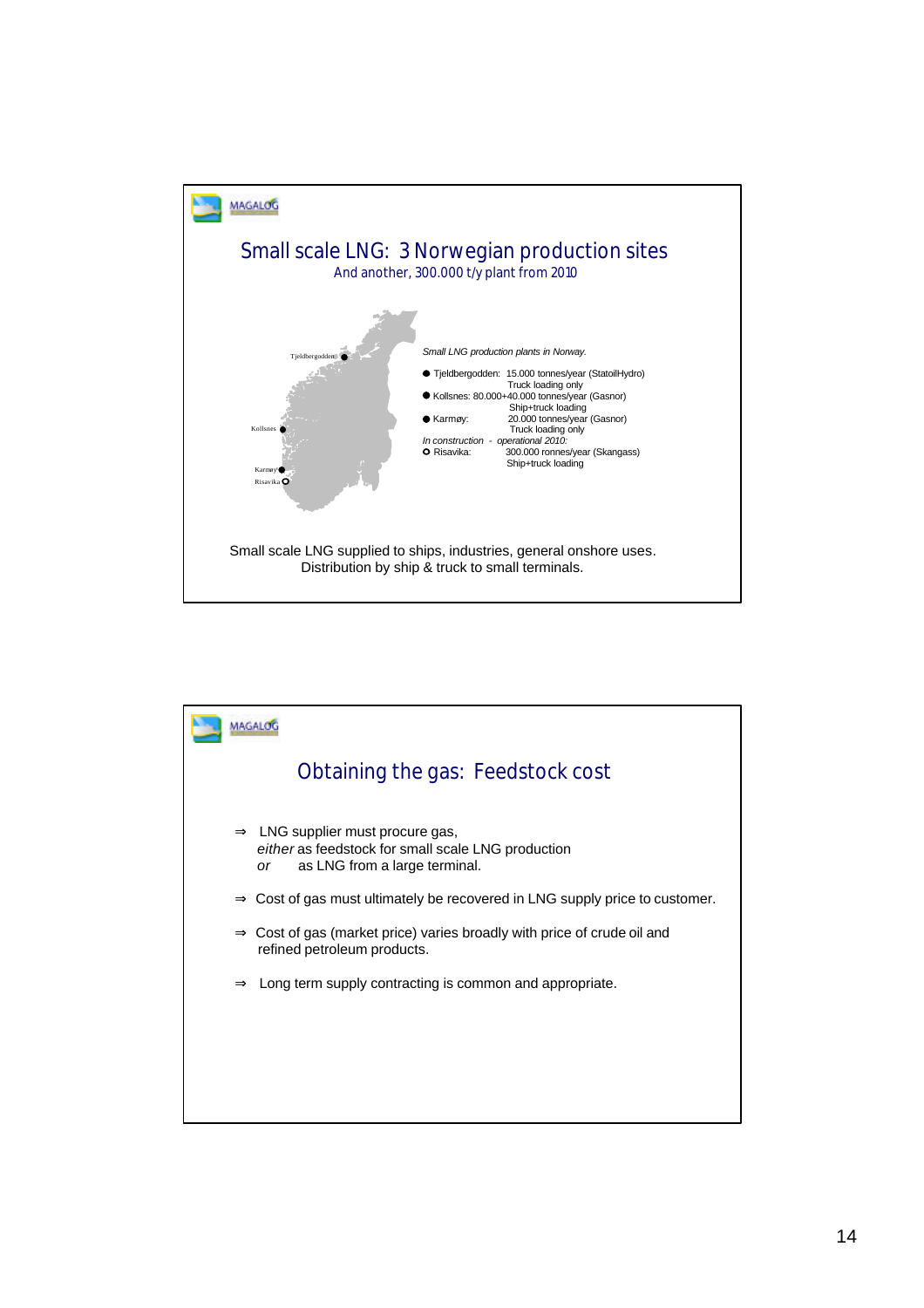

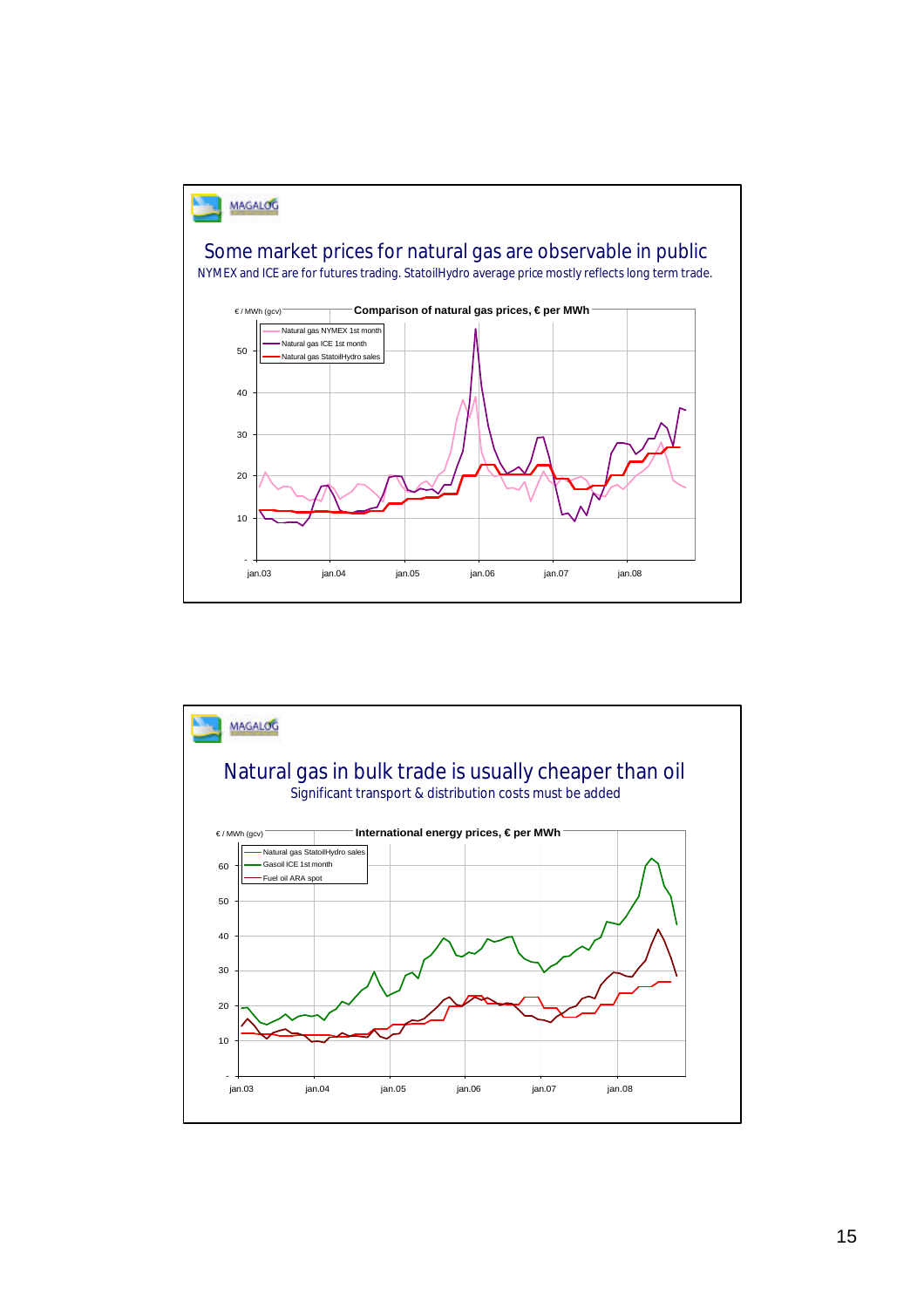

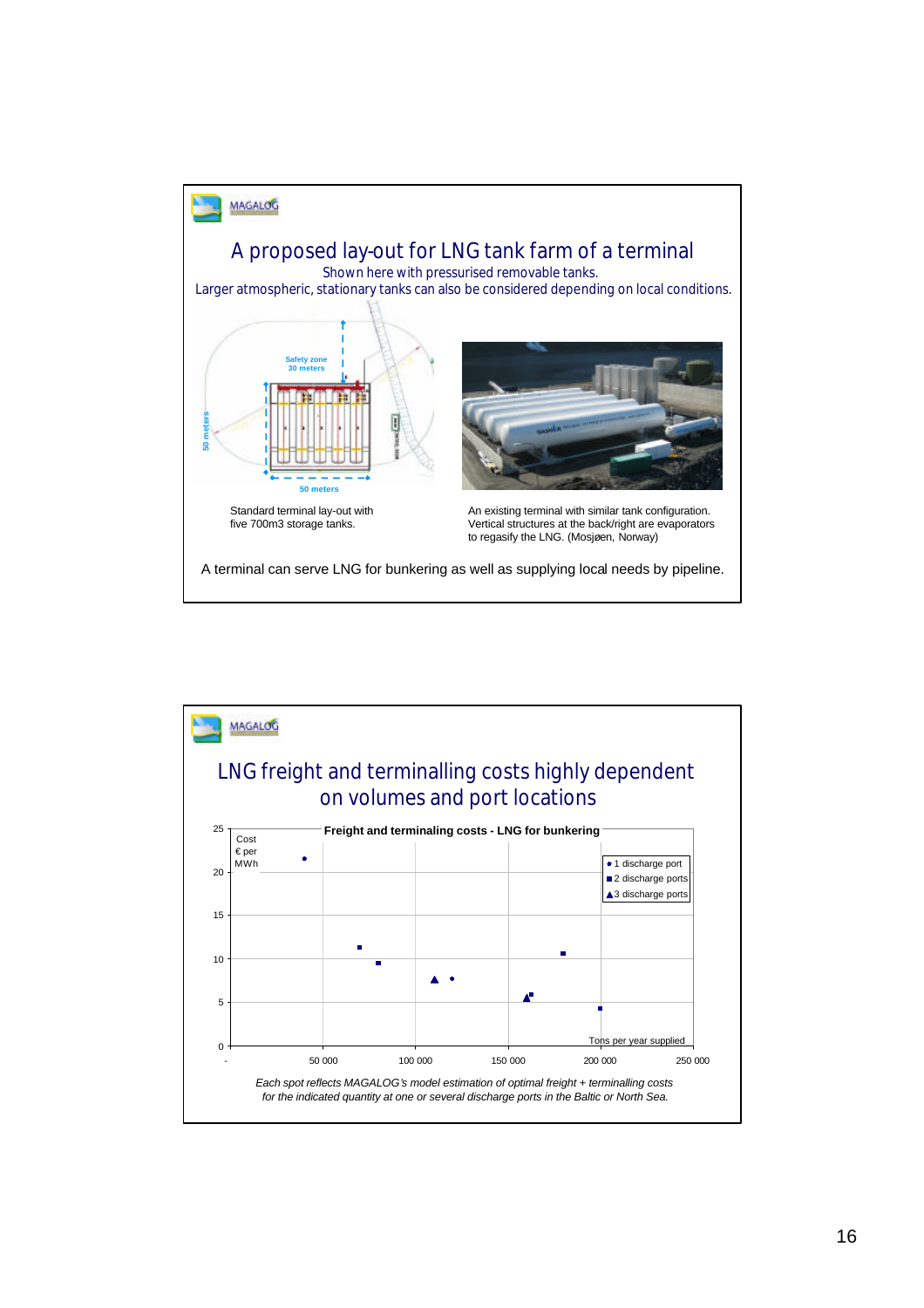

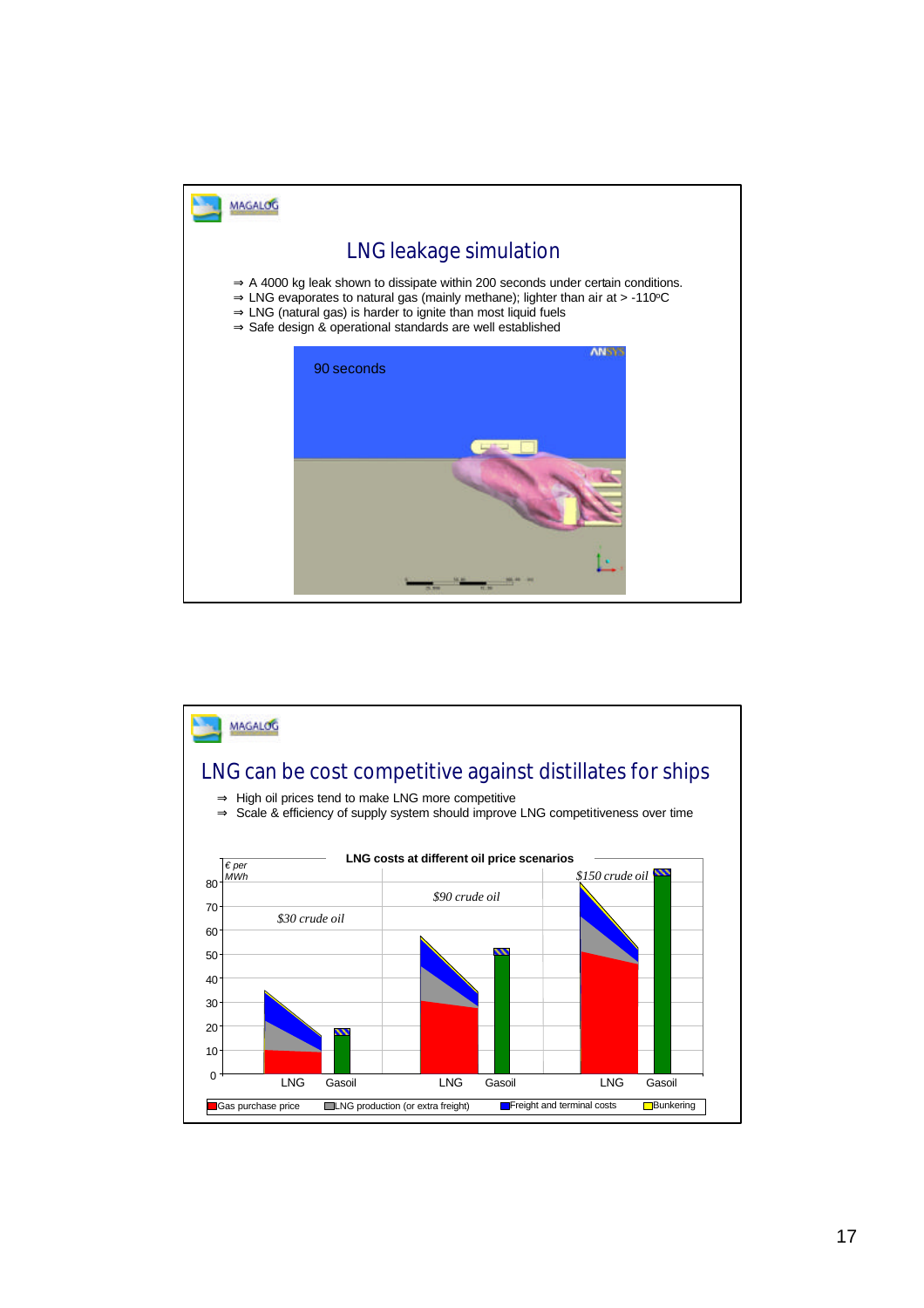

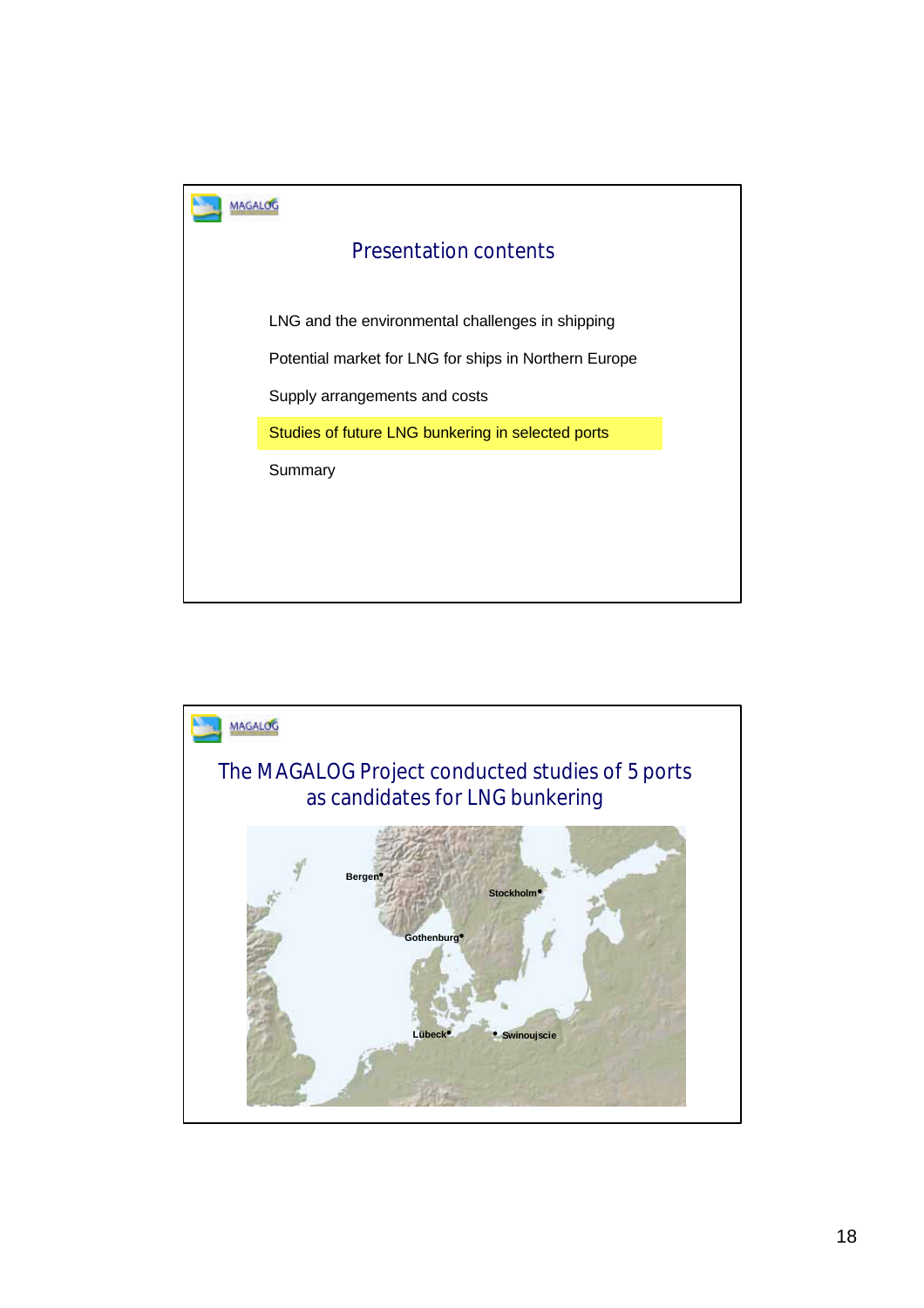

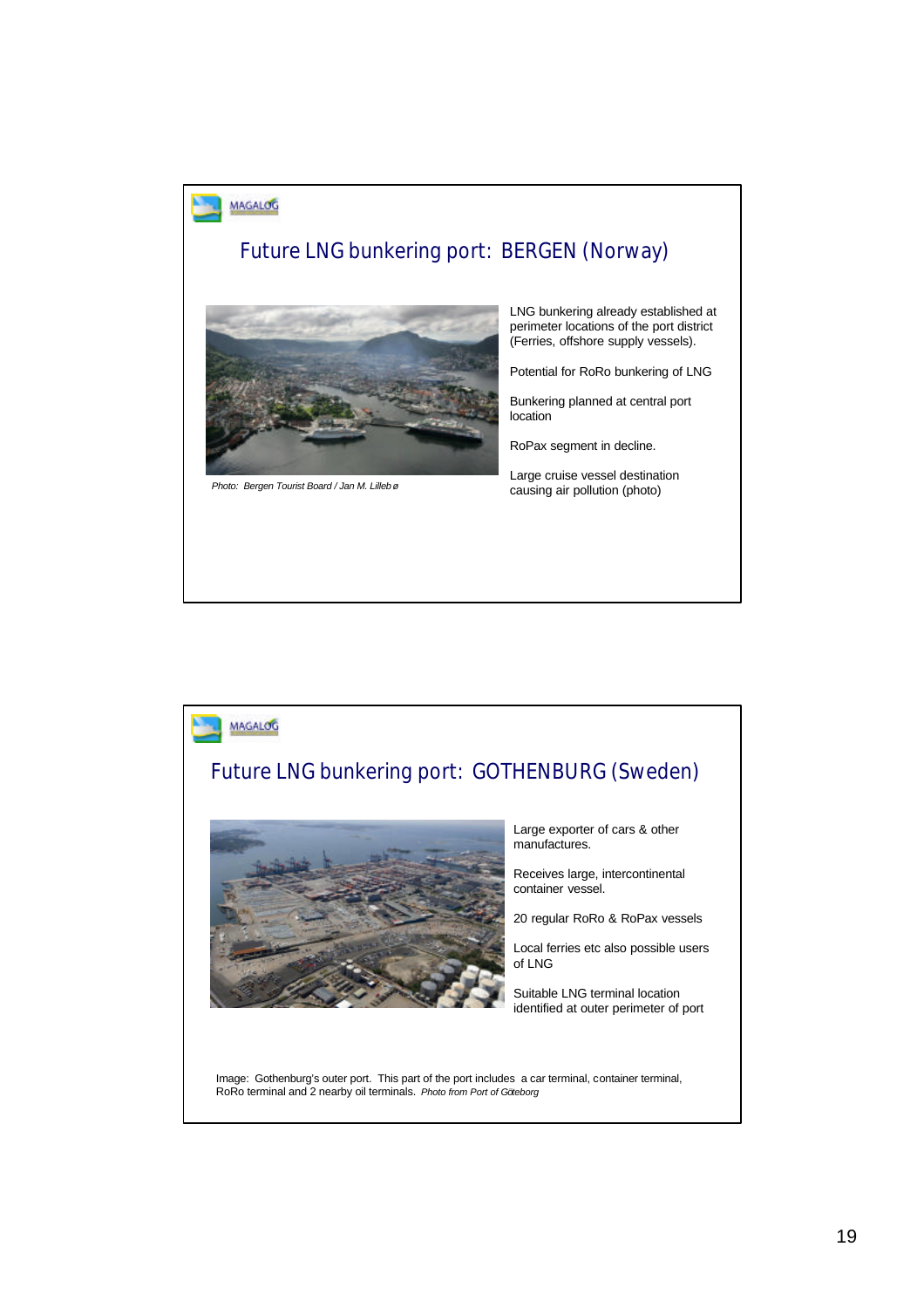

## Future LNG bunkering port: BERGEN (Norway)



LNG bunkering already established at perimeter locations of the port district (Ferries, offshore supply vessels).

Potential for RoRo bunkering of LNG

Bunkering planned at central port location

RoPax segment in decline.

Large cruise vessel destination causing air pollution (photo) *Photo: Bergen Tourist Board / Jan M. Lillebø*

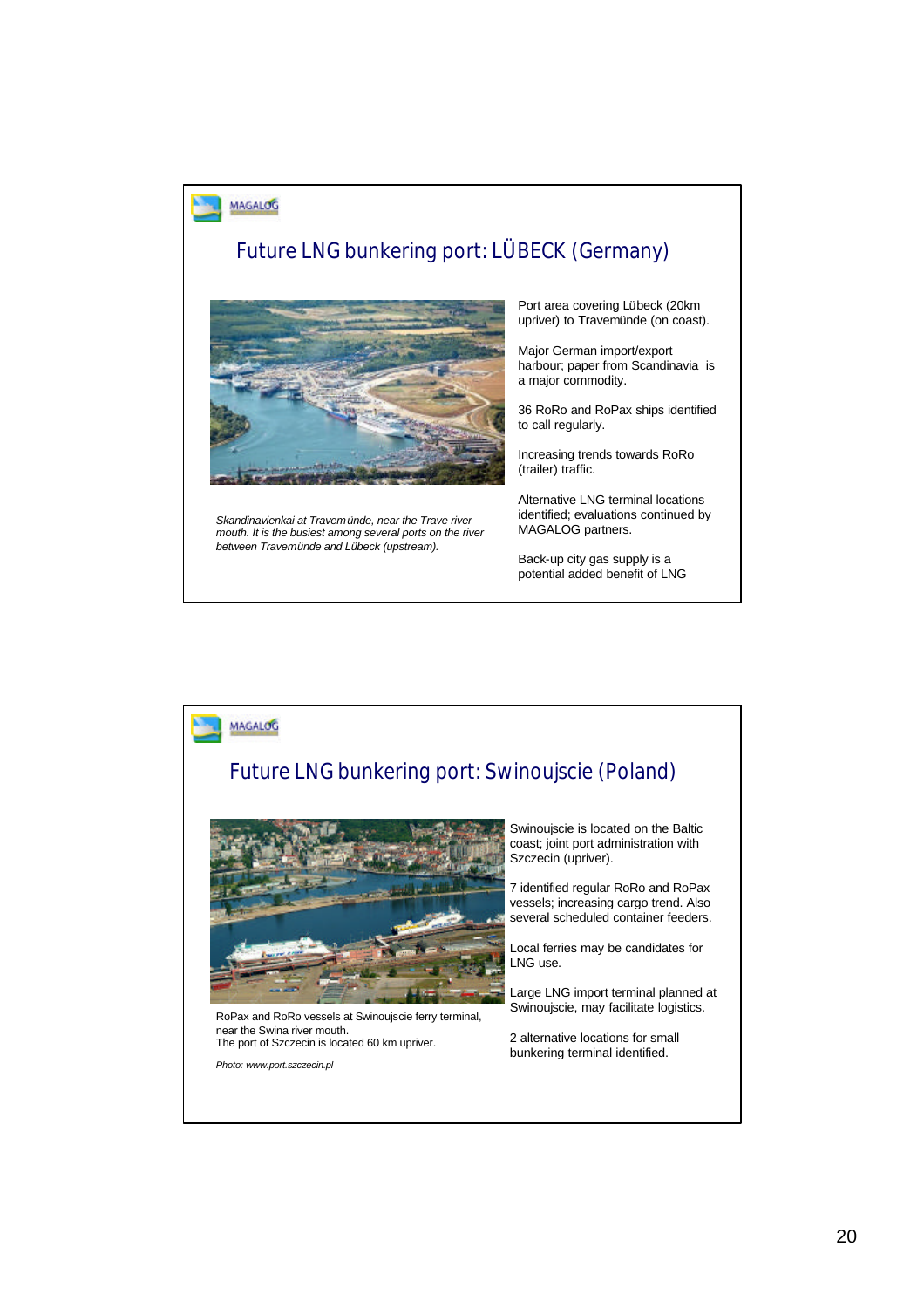

# Future LNG bunkering port: LÜBECK (Germany)



*Skandinavienkai at Travemünde, near the Trave river mouth. It is the busiest among several ports on the river between Travemünde and Lübeck (upstream).*

Port area covering Lübeck (20km upriver) to Travemünde (on coast).

Major German import/export harbour; paper from Scandinavia is a major commodity.

36 RoRo and RoPax ships identified to call regularly.

Increasing trends towards RoRo (trailer) traffic.

Alternative LNG terminal locations identified; evaluations continued by MAGALOG partners.

Back-up city gas supply is a potential added benefit of LNG



### Future LNG bunkering port: Swinoujscie (Poland)



RoPax and RoRo vessels at Swinoujscie ferry terminal, near the Swina river mouth. The port of Szczecin is located 60 km upriver.

*Photo: www.port.szczecin.pl*

Swinoujscie is located on the Baltic coast; joint port administration with Szczecin (upriver).

7 identified regular RoRo and RoPax vessels; increasing cargo trend. Also several scheduled container feeders.

Local ferries may be candidates for LNG use.

Large LNG import terminal planned at Swinoujscie, may facilitate logistics.

2 alternative locations for small bunkering terminal identified.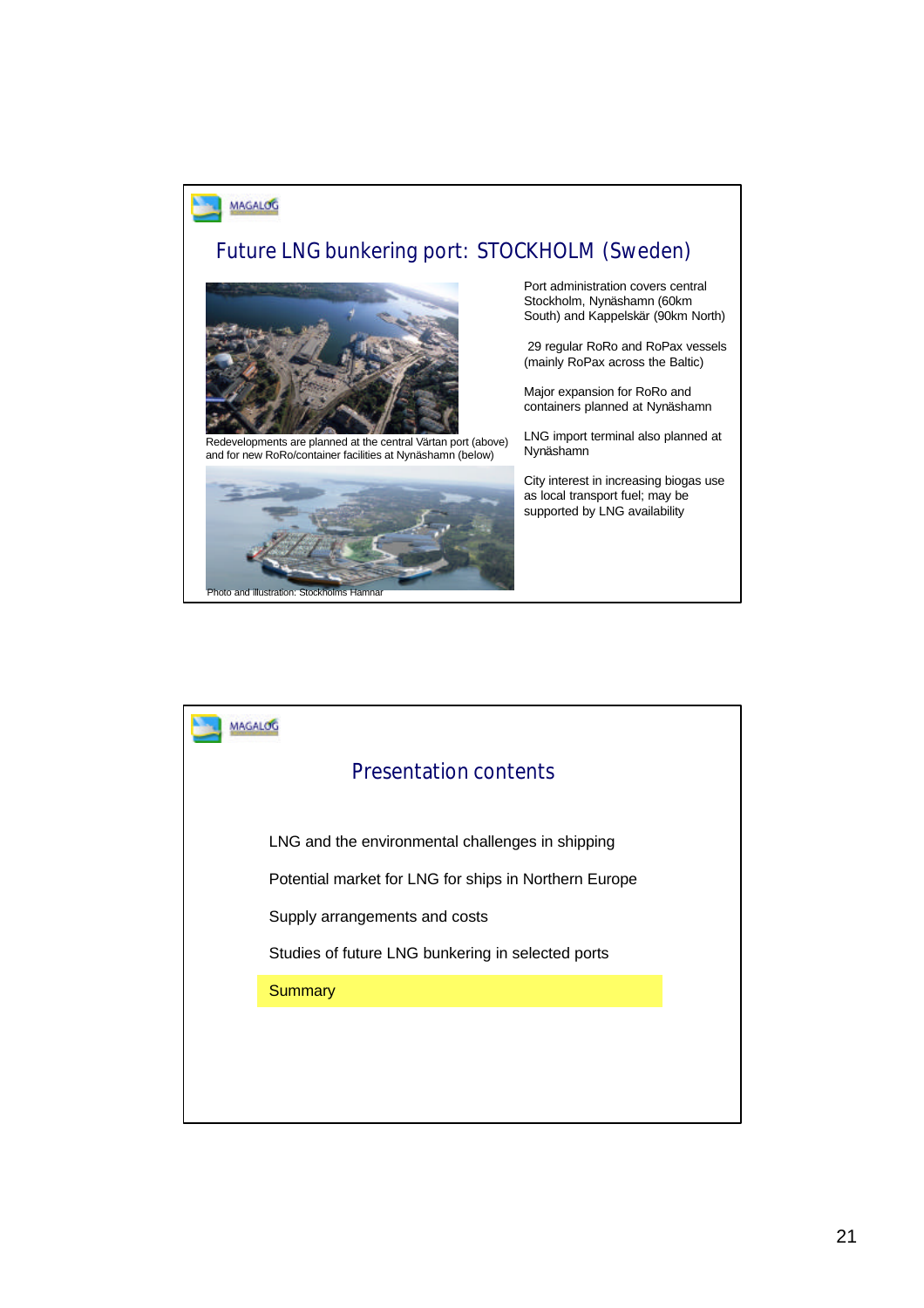

### Future LNG bunkering port: STOCKHOLM (Sweden)



Redevelopments are planned at the central Värtan port (above) and for new RoRo/container facilities at Nynäshamn (below)



Port administration covers central Stockholm, Nynäshamn (60km South) and Kappelskär (90km North)

29 regular RoRo and RoPax vessels (mainly RoPax across the Baltic)

Major expansion for RoRo and containers planned at Nynäshamn

LNG import terminal also planned at Nynäshamn

City interest in increasing biogas use as local transport fuel; may be supported by LNG availability